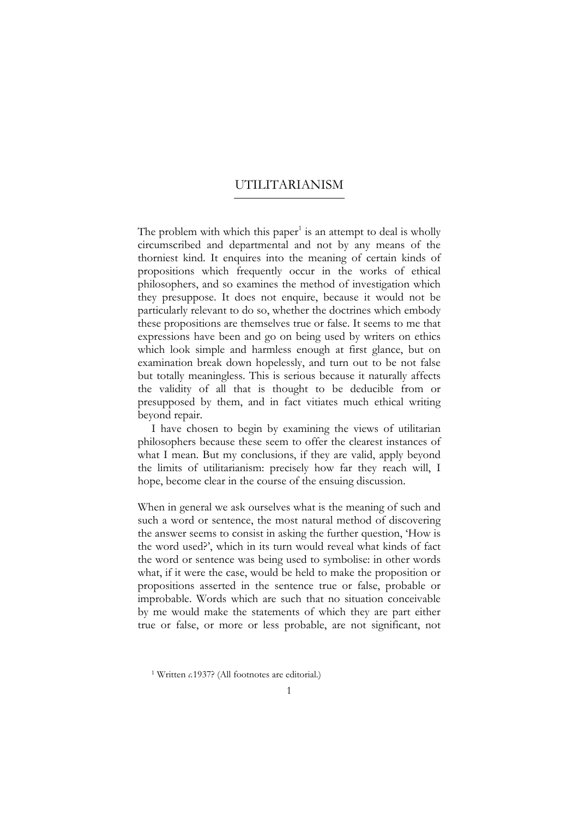### UTILITARIANISM  $\overline{a}$

The problem with which this paper<sup>1</sup> is an attempt to deal is wholly circumscribed and departmental and not by any means of the thorniest kind. It enquires into the meaning of certain kinds of propositions which frequently occur in the works of ethical philosophers, and so examines the method of investigation which they presuppose. It does not enquire, because it would not be particularly relevant to do so, whether the doctrines which embody these propositions are themselves true or false. It seems to me that expressions have been and go on being used by writers on ethics which look simple and harmless enough at first glance, but on examination break down hopelessly, and turn out to be not false but totally meaningless. This is serious because it naturally affects the validity of all that is thought to be deducible from or presupposed by them, and in fact vitiates much ethical writing beyond repair.

I have chosen to begin by examining the views of utilitarian philosophers because these seem to offer the clearest instances of what I mean. But my conclusions, if they are valid, apply beyond the limits of utilitarianism: precisely how far they reach will, I hope, become clear in the course of the ensuing discussion.

When in general we ask ourselves what is the meaning of such and such a word or sentence, the most natural method of discovering the answer seems to consist in asking the further question, 'How is the word used?', which in its turn would reveal what kinds of fact the word or sentence was being used to symbolise: in other words what, if it were the case, would be held to make the proposition or propositions asserted in the sentence true or false, probable or improbable. Words which are such that no situation conceivable by me would make the statements of which they are part either true or false, or more or less probable, are not significant, not

<span id="page-0-0"></span><sup>1</sup> Written *c.*1937? (All footnotes are editorial.)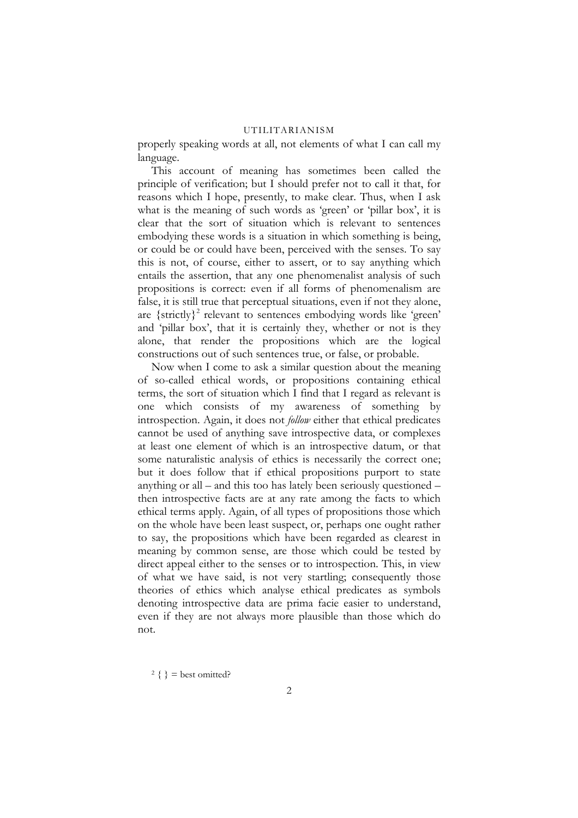properly speaking words at all, not elements of what I can call my language.

This account of meaning has sometimes been called the principle of verification; but I should prefer not to call it that, for reasons which I hope, presently, to make clear. Thus, when I ask what is the meaning of such words as 'green' or 'pillar box', it is clear that the sort of situation which is relevant to sentences embodying these words is a situation in which something is being, or could be or could have been, perceived with the senses. To say this is not, of course, either to assert, or to say anything which entails the assertion, that any one phenomenalist analysis of such propositions is correct: even if all forms of phenomenalism are false, it is still true that perceptual situations, even if not they alone, are  ${s<sub>1</sub>$  are  ${strictly}<sup>2</sup>$  relevant to sentences embodying words like 'green' and 'pillar box', that it is certainly they, whether or not is they alone, that render the propositions which are the logical constructions out of such sentences true, or false, or probable.

Now when I come to ask a similar question about the meaning of so-called ethical words, or propositions containing ethical terms, the sort of situation which I find that I regard as relevant is one which consists of my awareness of something by introspection. Again, it does not *follow* either that ethical predicates cannot be used of anything save introspective data, or complexes at least one element of which is an introspective datum, or that some naturalistic analysis of ethics is necessarily the correct one; but it does follow that if ethical propositions purport to state anything or all – and this too has lately been seriously questioned – then introspective facts are at any rate among the facts to which ethical terms apply. Again, of all types of propositions those which on the whole have been least suspect, or, perhaps one ought rather to say, the propositions which have been regarded as clearest in meaning by common sense, are those which could be tested by direct appeal either to the senses or to introspection. This, in view of what we have said, is not very startling; consequently those theories of ethics which analyse ethical predicates as symbols denoting introspective data are prima facie easier to understand, even if they are not always more plausible than those which do not.

<span id="page-1-0"></span> $2 \}$  = best omitted?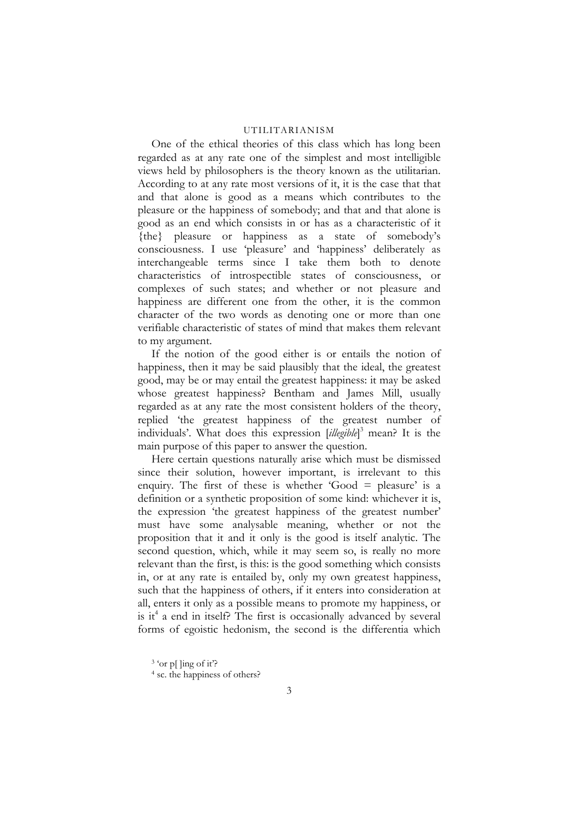One of the ethical theories of this class which has long been regarded as at any rate one of the simplest and most intelligible views held by philosophers is the theory known as the utilitarian. According to at any rate most versions of it, it is the case that that and that alone is good as a means which contributes to the pleasure or the happiness of somebody; and that and that alone is good as an end which consists in or has as a characteristic of it {the} pleasure or happiness as a state of somebody's consciousness. I use 'pleasure' and 'happiness' deliberately as interchangeable terms since I take them both to denote characteristics of introspectible states of consciousness, or complexes of such states; and whether or not pleasure and happiness are different one from the other, it is the common character of the two words as denoting one or more than one verifiable characteristic of states of mind that makes them relevant to my argument.

If the notion of the good either is or entails the notion of happiness, then it may be said plausibly that the ideal, the greatest good, may be or may entail the greatest happiness: it may be asked whose greatest happiness? Bentham and James Mill, usually regarded as at any rate the most consistent holders of the theory, replied 'the greatest happiness of the greatest number of individuals'. What does this expression [*illegible*] [3](#page-2-0) mean? It is the main purpose of this paper to answer the question.

Here certain questions naturally arise which must be dismissed since their solution, however important, is irrelevant to this enquiry. The first of these is whether 'Good  $=$  pleasure' is a definition or a synthetic proposition of some kind: whichever it is, the expression 'the greatest happiness of the greatest number' must have some analysable meaning, whether or not the proposition that it and it only is the good is itself analytic. The second question, which, while it may seem so, is really no more relevant than the first, is this: is the good something which consists in, or at any rate is entailed by, only my own greatest happiness, such that the happiness of others, if it enters into consideration at all, enters it only as a possible means to promote my happiness, or is it<sup>4</sup> a end in itself? The first is occasionally advanced by several forms of egoistic hedonism, the second is the differentia which

<span id="page-2-0"></span> $3$  'or p[ ]ing of it?

<span id="page-2-1"></span><sup>4</sup> sc. the happiness of others?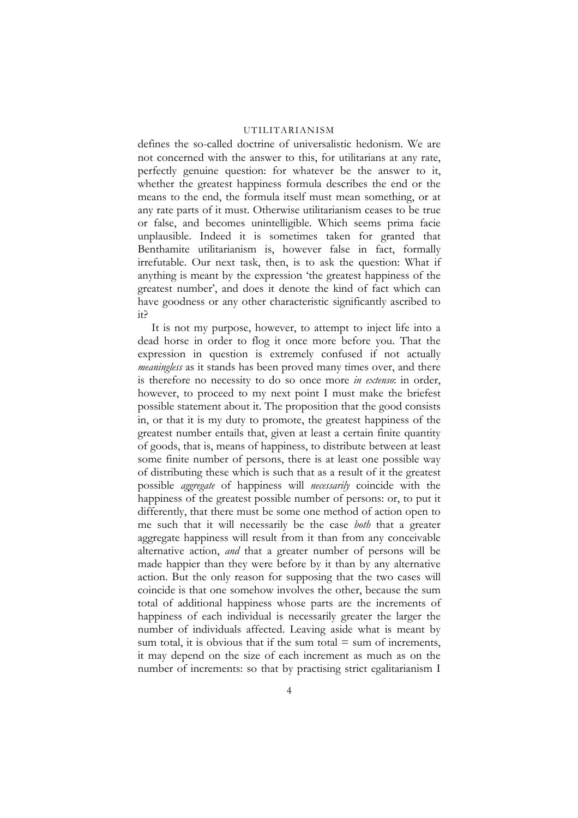defines the so-called doctrine of universalistic hedonism. We are not concerned with the answer to this, for utilitarians at any rate, perfectly genuine question: for whatever be the answer to it, whether the greatest happiness formula describes the end or the means to the end, the formula itself must mean something, or at any rate parts of it must. Otherwise utilitarianism ceases to be true or false, and becomes unintelligible. Which seems prima facie unplausible. Indeed it is sometimes taken for granted that Benthamite utilitarianism is, however false in fact, formally irrefutable. Our next task, then, is to ask the question: What if anything is meant by the expression 'the greatest happiness of the greatest number', and does it denote the kind of fact which can have goodness or any other characteristic significantly ascribed to it?

It is not my purpose, however, to attempt to inject life into a dead horse in order to flog it once more before you. That the expression in question is extremely confused if not actually *meaningless* as it stands has been proved many times over, and there is therefore no necessity to do so once more *in extenso*: in order, however, to proceed to my next point I must make the briefest possible statement about it. The proposition that the good consists in, or that it is my duty to promote, the greatest happiness of the greatest number entails that, given at least a certain finite quantity of goods, that is, means of happiness, to distribute between at least some finite number of persons, there is at least one possible way of distributing these which is such that as a result of it the greatest possible *aggregate* of happiness will *necessarily* coincide with the happiness of the greatest possible number of persons: or, to put it differently, that there must be some one method of action open to me such that it will necessarily be the case *both* that a greater aggregate happiness will result from it than from any conceivable alternative action, *and* that a greater number of persons will be made happier than they were before by it than by any alternative action. But the only reason for supposing that the two cases will coincide is that one somehow involves the other, because the sum total of additional happiness whose parts are the increments of happiness of each individual is necessarily greater the larger the number of individuals affected. Leaving aside what is meant by sum total, it is obvious that if the sum total  $=$  sum of increments, it may depend on the size of each increment as much as on the number of increments: so that by practising strict egalitarianism I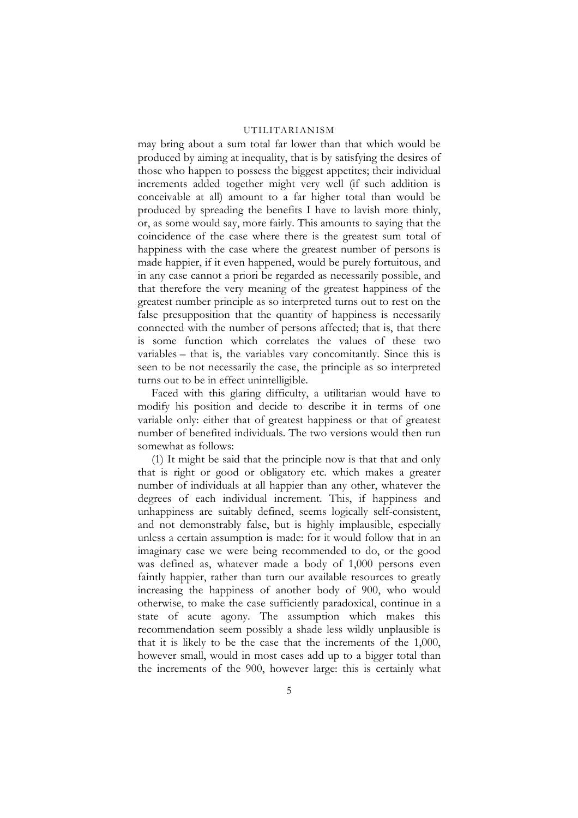may bring about a sum total far lower than that which would be produced by aiming at inequality, that is by satisfying the desires of those who happen to possess the biggest appetites; their individual increments added together might very well (if such addition is conceivable at all) amount to a far higher total than would be produced by spreading the benefits I have to lavish more thinly, or, as some would say, more fairly. This amounts to saying that the coincidence of the case where there is the greatest sum total of happiness with the case where the greatest number of persons is made happier, if it even happened, would be purely fortuitous, and in any case cannot a priori be regarded as necessarily possible, and that therefore the very meaning of the greatest happiness of the greatest number principle as so interpreted turns out to rest on the false presupposition that the quantity of happiness is necessarily connected with the number of persons affected; that is, that there is some function which correlates the values of these two variables – that is, the variables vary concomitantly. Since this is seen to be not necessarily the case, the principle as so interpreted turns out to be in effect unintelligible.

Faced with this glaring difficulty, a utilitarian would have to modify his position and decide to describe it in terms of one variable only: either that of greatest happiness or that of greatest number of benefited individuals. The two versions would then run somewhat as follows:

(1) It might be said that the principle now is that that and only that is right or good or obligatory etc. which makes a greater number of individuals at all happier than any other, whatever the degrees of each individual increment. This, if happiness and unhappiness are suitably defined, seems logically self-consistent, and not demonstrably false, but is highly implausible, especially unless a certain assumption is made: for it would follow that in an imaginary case we were being recommended to do, or the good was defined as, whatever made a body of 1,000 persons even faintly happier, rather than turn our available resources to greatly increasing the happiness of another body of 900, who would otherwise, to make the case sufficiently paradoxical, continue in a state of acute agony. The assumption which makes this recommendation seem possibly a shade less wildly unplausible is that it is likely to be the case that the increments of the 1,000, however small, would in most cases add up to a bigger total than the increments of the 900, however large: this is certainly what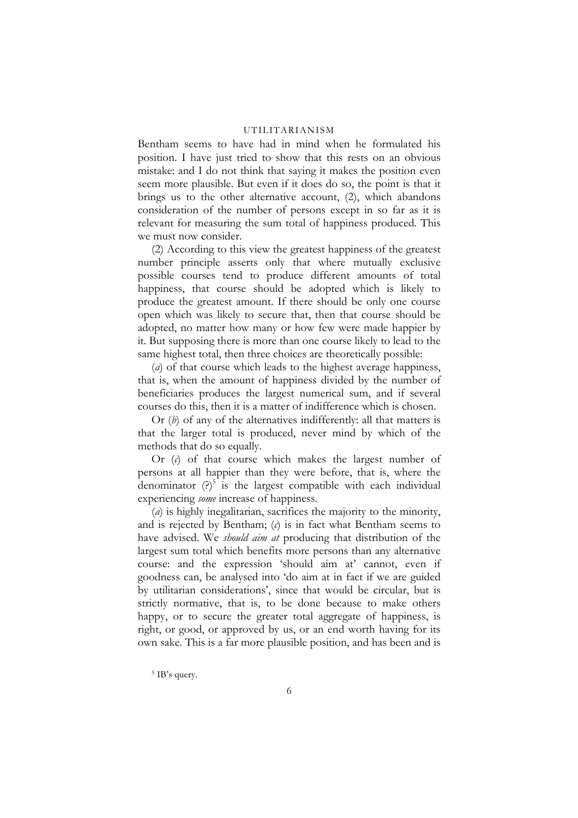Bentham seems to have had in mind when he formulated his position. I have just tried to show that this rests on an obvious mistake: and I do not think that saying it makes the position even seem more plausible. But even if it does do so, the point is that it brings us to the other alternative account, (2), which abandons consideration of the number of persons except in so far as it is relevant for measuring the sum total of happiness produced. This we must now consider.

(2) According to this view the greatest happiness of the greatest number principle asserts only that where mutually exclusive possible courses tend to produce different amounts of total happiness, that course should be adopted which is likely to produce the greatest amount. If there should be only one course open which was likely to secure that, then that course should be adopted, no matter how many or how few were made happier by it. But supposing there is more than one course likely to lead to the same highest total, then three choices are theoretically possible:

(*a*) of that course which leads to the highest average happiness, that is, when the amount of happiness divided by the number of beneficiaries produces the largest numerical sum, and if several courses do this, then it is a matter of indifference which is chosen.

Or (*b*) of any of the alternatives indifferently: all that matters is that the larger total is produced, never mind by which of the methods that do so equally.

Or (*c*) of that course which makes the largest number of persons at all happier than they were before, that is, where the denominator  $(?)^5$  is the largest compatible with each individual experiencing *some* increase of happiness.

(*a*) is highly inegalitarian, sacrifices the majority to the minority, and is rejected by Bentham; (*c*) is in fact what Bentham seems to have advised. We *should aim at* producing that distribution of the largest sum total which benefits more persons than any alternative course: and the expression 'should aim at' cannot, even if goodness can, be analysed into 'do aim at in fact if we are guided by utilitarian considerations', since that would be circular, but is strictly normative, that is, to be done because to make others happy, or to secure the greater total aggregate of happiness, is right, or good, or approved by us, or an end worth having for its own sake. This is a far more plausible position, and has been and is

<span id="page-5-0"></span>5 IB's query.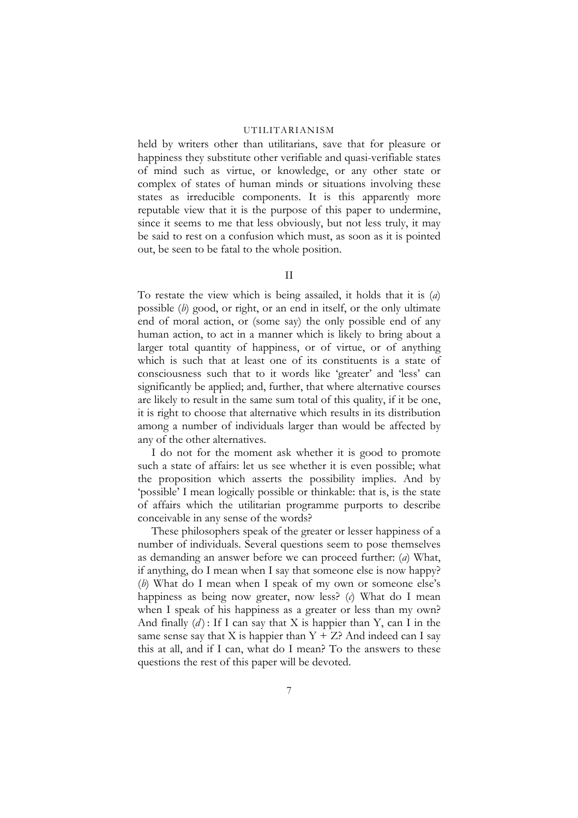held by writers other than utilitarians, save that for pleasure or happiness they substitute other verifiable and quasi-verifiable states of mind such as virtue, or knowledge, or any other state or complex of states of human minds or situations involving these states as irreducible components. It is this apparently more reputable view that it is the purpose of this paper to undermine, since it seems to me that less obviously, but not less truly, it may be said to rest on a confusion which must, as soon as it is pointed out, be seen to be fatal to the whole position.

II

To restate the view which is being assailed, it holds that it is (*a*) possible (*b*) good, or right, or an end in itself, or the only ultimate end of moral action, or (some say) the only possible end of any human action, to act in a manner which is likely to bring about a larger total quantity of happiness, or of virtue, or of anything which is such that at least one of its constituents is a state of consciousness such that to it words like 'greater' and 'less' can significantly be applied; and, further, that where alternative courses are likely to result in the same sum total of this quality, if it be one, it is right to choose that alternative which results in its distribution among a number of individuals larger than would be affected by any of the other alternatives.

I do not for the moment ask whether it is good to promote such a state of affairs: let us see whether it is even possible; what the proposition which asserts the possibility implies. And by 'possible' I mean logically possible or thinkable: that is, is the state of affairs which the utilitarian programme purports to describe conceivable in any sense of the words?

These philosophers speak of the greater or lesser happiness of a number of individuals. Several questions seem to pose themselves as demanding an answer before we can proceed further: (*a*) What, if anything, do I mean when I say that someone else is now happy? (*b*) What do I mean when I speak of my own or someone else's happiness as being now greater, now less? (*c*) What do I mean when I speak of his happiness as a greater or less than my own? And finally  $(d)$ : If I can say that X is happier than Y, can I in the same sense say that X is happier than  $Y + Z$ ? And indeed can I say this at all, and if I can, what do I mean? To the answers to these questions the rest of this paper will be devoted.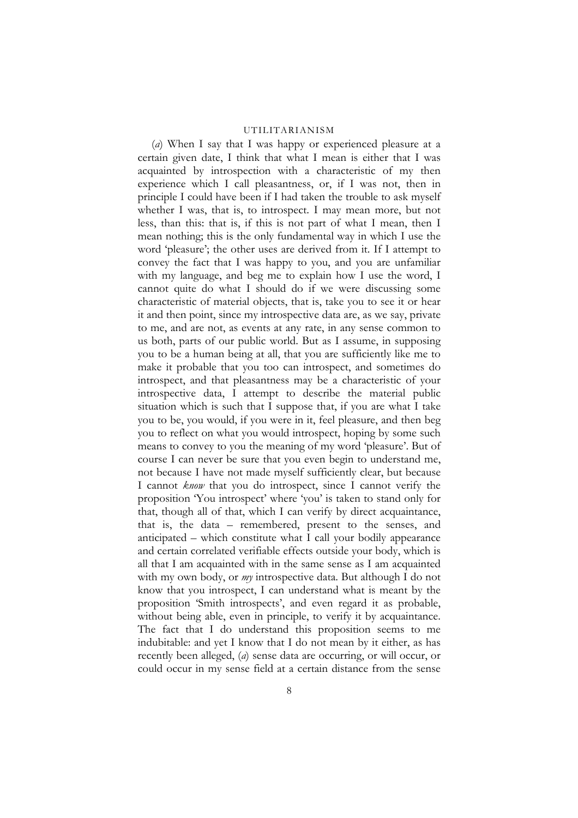(*a*) When I say that I was happy or experienced pleasure at a certain given date, I think that what I mean is either that I was acquainted by introspection with a characteristic of my then experience which I call pleasantness, or, if I was not, then in principle I could have been if I had taken the trouble to ask myself whether I was, that is, to introspect. I may mean more, but not less, than this: that is, if this is not part of what I mean, then I mean nothing; this is the only fundamental way in which I use the word 'pleasure'; the other uses are derived from it. If I attempt to convey the fact that I was happy to you, and you are unfamiliar with my language, and beg me to explain how I use the word, I cannot quite do what I should do if we were discussing some characteristic of material objects, that is, take you to see it or hear it and then point, since my introspective data are, as we say, private to me, and are not, as events at any rate, in any sense common to us both, parts of our public world. But as I assume, in supposing you to be a human being at all, that you are sufficiently like me to make it probable that you too can introspect, and sometimes do introspect, and that pleasantness may be a characteristic of your introspective data, I attempt to describe the material public situation which is such that I suppose that, if you are what I take you to be, you would, if you were in it, feel pleasure, and then beg you to reflect on what you would introspect, hoping by some such means to convey to you the meaning of my word 'pleasure'. But of course I can never be sure that you even begin to understand me, not because I have not made myself sufficiently clear, but because I cannot *know* that you do introspect, since I cannot verify the proposition 'You introspect' where 'you' is taken to stand only for that, though all of that, which I can verify by direct acquaintance, that is, the data – remembered, present to the senses, and anticipated – which constitute what I call your bodily appearance and certain correlated verifiable effects outside your body, which is all that I am acquainted with in the same sense as I am acquainted with my own body, or *my* introspective data. But although I do not know that you introspect, I can understand what is meant by the proposition 'Smith introspects', and even regard it as probable, without being able, even in principle, to verify it by acquaintance. The fact that I do understand this proposition seems to me indubitable: and yet I know that I do not mean by it either, as has recently been alleged, (*a*) sense data are occurring, or will occur, or could occur in my sense field at a certain distance from the sense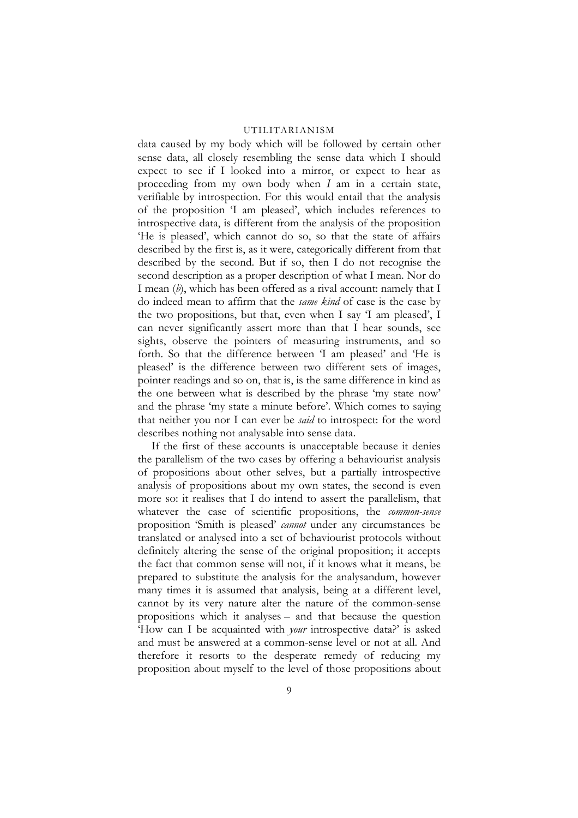data caused by my body which will be followed by certain other sense data, all closely resembling the sense data which I should expect to see if I looked into a mirror, or expect to hear as proceeding from my own body when *I* am in a certain state, verifiable by introspection. For this would entail that the analysis of the proposition 'I am pleased', which includes references to introspective data, is different from the analysis of the proposition 'He is pleased', which cannot do so, so that the state of affairs described by the first is, as it were, categorically different from that described by the second. But if so, then I do not recognise the second description as a proper description of what I mean. Nor do I mean (*b*), which has been offered as a rival account: namely that I do indeed mean to affirm that the *same kind* of case is the case by the two propositions, but that, even when I say 'I am pleased', I can never significantly assert more than that I hear sounds, see sights, observe the pointers of measuring instruments, and so forth. So that the difference between 'I am pleased' and 'He is pleased' is the difference between two different sets of images, pointer readings and so on, that is, is the same difference in kind as the one between what is described by the phrase 'my state now' and the phrase 'my state a minute before'. Which comes to saying that neither you nor I can ever be *said* to introspect: for the word describes nothing not analysable into sense data.

If the first of these accounts is unacceptable because it denies the parallelism of the two cases by offering a behaviourist analysis of propositions about other selves, but a partially introspective analysis of propositions about my own states, the second is even more so: it realises that I do intend to assert the parallelism, that whatever the case of scientific propositions, the *common-sense* proposition 'Smith is pleased' *cannot* under any circumstances be translated or analysed into a set of behaviourist protocols without definitely altering the sense of the original proposition; it accepts the fact that common sense will not, if it knows what it means, be prepared to substitute the analysis for the analysandum, however many times it is assumed that analysis, being at a different level, cannot by its very nature alter the nature of the common-sense propositions which it analyses – and that because the question 'How can I be acquainted with *your* introspective data?' is asked and must be answered at a common-sense level or not at all. And therefore it resorts to the desperate remedy of reducing my proposition about myself to the level of those propositions about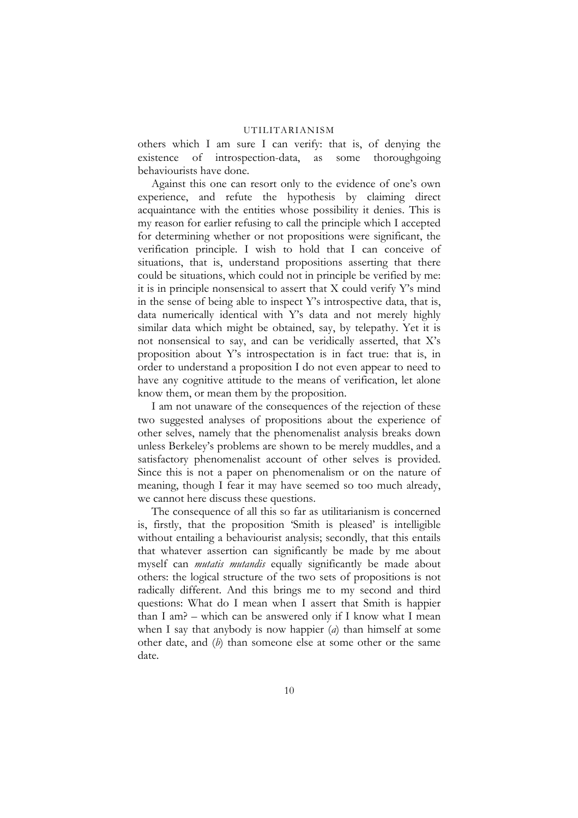others which I am sure I can verify: that is, of denying the existence of introspection-data, as some thoroughgoing behaviourists have done.

Against this one can resort only to the evidence of one's own experience, and refute the hypothesis by claiming direct acquaintance with the entities whose possibility it denies. This is my reason for earlier refusing to call the principle which I accepted for determining whether or not propositions were significant, the verification principle. I wish to hold that I can conceive of situations, that is, understand propositions asserting that there could be situations, which could not in principle be verified by me: it is in principle nonsensical to assert that X could verify Y's mind in the sense of being able to inspect Y's introspective data, that is, data numerically identical with Y's data and not merely highly similar data which might be obtained, say, by telepathy. Yet it is not nonsensical to say, and can be veridically asserted, that X's proposition about Y's introspectation is in fact true: that is, in order to understand a proposition I do not even appear to need to have any cognitive attitude to the means of verification, let alone know them, or mean them by the proposition.

I am not unaware of the consequences of the rejection of these two suggested analyses of propositions about the experience of other selves, namely that the phenomenalist analysis breaks down unless Berkeley's problems are shown to be merely muddles, and a satisfactory phenomenalist account of other selves is provided. Since this is not a paper on phenomenalism or on the nature of meaning, though I fear it may have seemed so too much already, we cannot here discuss these questions.

The consequence of all this so far as utilitarianism is concerned is, firstly, that the proposition 'Smith is pleased' is intelligible without entailing a behaviourist analysis; secondly, that this entails that whatever assertion can significantly be made by me about myself can *mutatis mutandis* equally significantly be made about others: the logical structure of the two sets of propositions is not radically different. And this brings me to my second and third questions: What do I mean when I assert that Smith is happier than I am? – which can be answered only if I know what I mean when I say that anybody is now happier (*a*) than himself at some other date, and (*b*) than someone else at some other or the same date.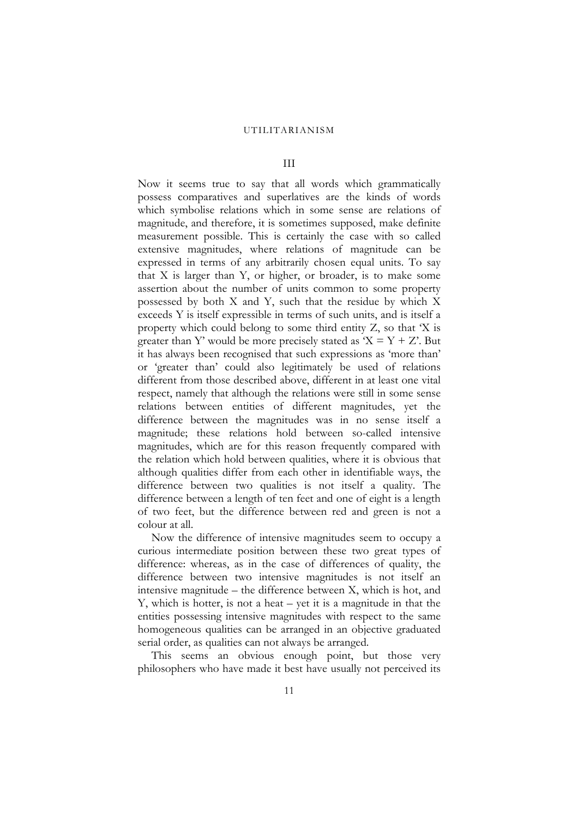# III

Now it seems true to say that all words which grammatically possess comparatives and superlatives are the kinds of words which symbolise relations which in some sense are relations of magnitude, and therefore, it is sometimes supposed, make definite measurement possible. This is certainly the case with so called extensive magnitudes, where relations of magnitude can be expressed in terms of any arbitrarily chosen equal units. To say that X is larger than Y, or higher, or broader, is to make some assertion about the number of units common to some property possessed by both X and Y, such that the residue by which X exceeds Y is itself expressible in terms of such units, and is itself a property which could belong to some third entity Z, so that 'X is greater than Y' would be more precisely stated as ' $X = Y + Z'$ . But it has always been recognised that such expressions as 'more than' or 'greater than' could also legitimately be used of relations different from those described above, different in at least one vital respect, namely that although the relations were still in some sense relations between entities of different magnitudes, yet the difference between the magnitudes was in no sense itself a magnitude; these relations hold between so-called intensive magnitudes, which are for this reason frequently compared with the relation which hold between qualities, where it is obvious that although qualities differ from each other in identifiable ways, the difference between two qualities is not itself a quality. The difference between a length of ten feet and one of eight is a length of two feet, but the difference between red and green is not a colour at all.

Now the difference of intensive magnitudes seem to occupy a curious intermediate position between these two great types of difference: whereas, as in the case of differences of quality, the difference between two intensive magnitudes is not itself an intensive magnitude – the difference between X, which is hot, and Y, which is hotter, is not a heat – yet it is a magnitude in that the entities possessing intensive magnitudes with respect to the same homogeneous qualities can be arranged in an objective graduated serial order, as qualities can not always be arranged.

This seems an obvious enough point, but those very philosophers who have made it best have usually not perceived its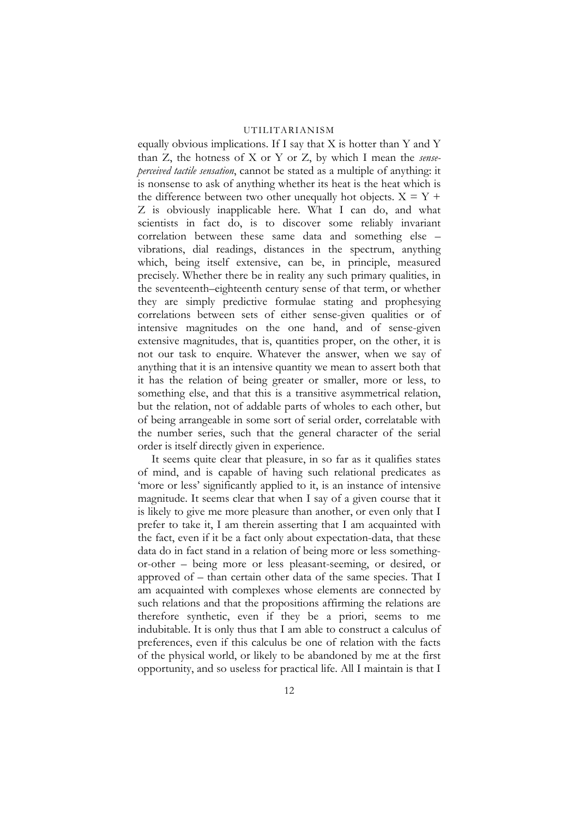equally obvious implications. If I say that X is hotter than Y and Y than Z, the hotness of X or Y or Z, by which I mean the *senseperceived tactile sensation*, cannot be stated as a multiple of anything: it is nonsense to ask of anything whether its heat is the heat which is the difference between two other unequally hot objects.  $X = Y +$ Z is obviously inapplicable here. What I can do, and what scientists in fact do, is to discover some reliably invariant correlation between these same data and something else – vibrations, dial readings, distances in the spectrum, anything which, being itself extensive, can be, in principle, measured precisely. Whether there be in reality any such primary qualities, in the seventeenth–eighteenth century sense of that term, or whether they are simply predictive formulae stating and prophesying correlations between sets of either sense-given qualities or of intensive magnitudes on the one hand, and of sense-given extensive magnitudes, that is, quantities proper, on the other, it is not our task to enquire. Whatever the answer, when we say of anything that it is an intensive quantity we mean to assert both that it has the relation of being greater or smaller, more or less, to something else, and that this is a transitive asymmetrical relation, but the relation, not of addable parts of wholes to each other, but of being arrangeable in some sort of serial order, correlatable with the number series, such that the general character of the serial order is itself directly given in experience.

It seems quite clear that pleasure, in so far as it qualifies states of mind, and is capable of having such relational predicates as 'more or less' significantly applied to it, is an instance of intensive magnitude. It seems clear that when I say of a given course that it is likely to give me more pleasure than another, or even only that I prefer to take it, I am therein asserting that I am acquainted with the fact, even if it be a fact only about expectation-data, that these data do in fact stand in a relation of being more or less somethingor-other – being more or less pleasant-seeming, or desired, or approved of – than certain other data of the same species. That I am acquainted with complexes whose elements are connected by such relations and that the propositions affirming the relations are therefore synthetic, even if they be a priori, seems to me indubitable. It is only thus that I am able to construct a calculus of preferences, even if this calculus be one of relation with the facts of the physical world, or likely to be abandoned by me at the first opportunity, and so useless for practical life. All I maintain is that I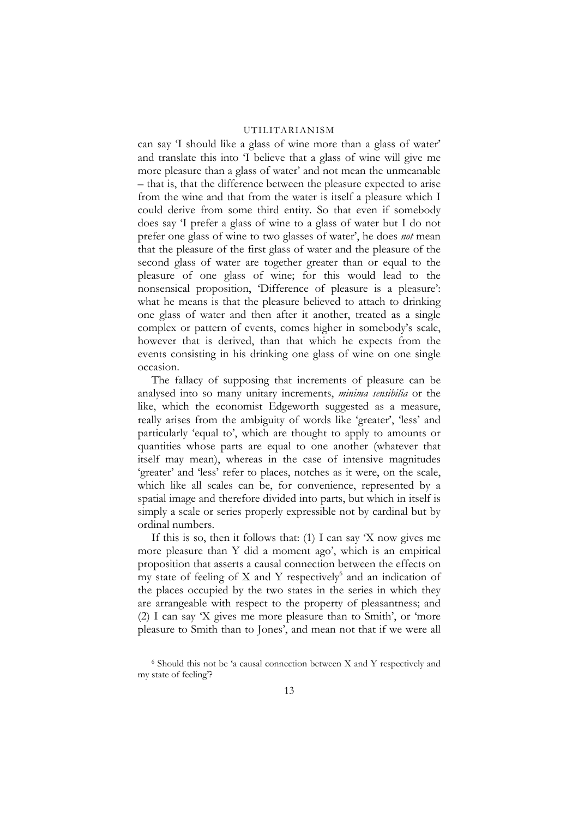can say 'I should like a glass of wine more than a glass of water' and translate this into 'I believe that a glass of wine will give me more pleasure than a glass of water' and not mean the unmeanable – that is, that the difference between the pleasure expected to arise from the wine and that from the water is itself a pleasure which I could derive from some third entity. So that even if somebody does say 'I prefer a glass of wine to a glass of water but I do not prefer one glass of wine to two glasses of water', he does *not* mean that the pleasure of the first glass of water and the pleasure of the second glass of water are together greater than or equal to the pleasure of one glass of wine; for this would lead to the nonsensical proposition, 'Difference of pleasure is a pleasure': what he means is that the pleasure believed to attach to drinking one glass of water and then after it another, treated as a single complex or pattern of events, comes higher in somebody's scale, however that is derived, than that which he expects from the events consisting in his drinking one glass of wine on one single occasion.

The fallacy of supposing that increments of pleasure can be analysed into so many unitary increments, *minima sensibilia* or the like, which the economist Edgeworth suggested as a measure, really arises from the ambiguity of words like 'greater', 'less' and particularly 'equal to', which are thought to apply to amounts or quantities whose parts are equal to one another (whatever that itself may mean), whereas in the case of intensive magnitudes 'greater' and 'less' refer to places, notches as it were, on the scale, which like all scales can be, for convenience, represented by a spatial image and therefore divided into parts, but which in itself is simply a scale or series properly expressible not by cardinal but by ordinal numbers.

If this is so, then it follows that: (1) I can say 'X now gives me more pleasure than Y did a moment ago', which is an empirical proposition that asserts a causal connection between the effects on my state of feeling of X and Y respectively<sup>6</sup> and an indication of the places occupied by the two states in the series in which they are arrangeable with respect to the property of pleasantness; and (2) I can say 'X gives me more pleasure than to Smith', or 'more pleasure to Smith than to Jones', and mean not that if we were all

<span id="page-12-0"></span><sup>6</sup> Should this not be 'a causal connection between X and Y respectively and my state of feeling'?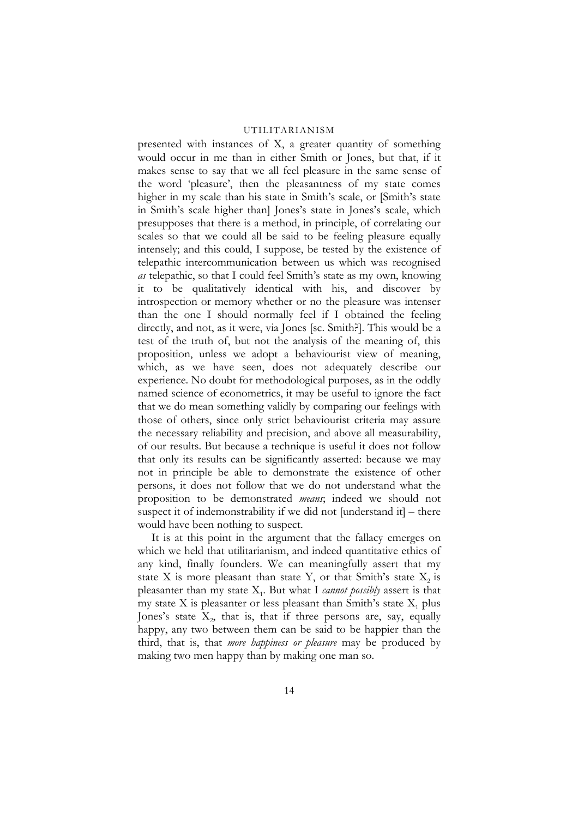presented with instances of X, a greater quantity of something would occur in me than in either Smith or Jones, but that, if it makes sense to say that we all feel pleasure in the same sense of the word 'pleasure', then the pleasantness of my state comes higher in my scale than his state in Smith's scale, or [Smith's state in Smith's scale higher than] Jones's state in Jones's scale, which presupposes that there is a method, in principle, of correlating our scales so that we could all be said to be feeling pleasure equally intensely; and this could, I suppose, be tested by the existence of telepathic intercommunication between us which was recognised *as* telepathic, so that I could feel Smith's state as my own, knowing it to be qualitatively identical with his, and discover by introspection or memory whether or no the pleasure was intenser than the one I should normally feel if I obtained the feeling directly, and not, as it were, via Jones [sc. Smith?]. This would be a test of the truth of, but not the analysis of the meaning of, this proposition, unless we adopt a behaviourist view of meaning, which, as we have seen, does not adequately describe our experience. No doubt for methodological purposes, as in the oddly named science of econometrics, it may be useful to ignore the fact that we do mean something validly by comparing our feelings with those of others, since only strict behaviourist criteria may assure the necessary reliability and precision, and above all measurability, of our results. But because a technique is useful it does not follow that only its results can be significantly asserted: because we may not in principle be able to demonstrate the existence of other persons, it does not follow that we do not understand what the proposition to be demonstrated *means*; indeed we should not suspect it of indemonstrability if we did not [understand it] – there would have been nothing to suspect.

It is at this point in the argument that the fallacy emerges on which we held that utilitarianism, and indeed quantitative ethics of any kind, finally founders. We can meaningfully assert that my state X is more pleasant than state Y, or that Smith's state  $X_2$  is pleasanter than my state X1. But what I *cannot possibly* assert is that my state X is pleasanter or less pleasant than Smith's state  $X_1$  plus Jones's state  $X_2$ , that is, that if three persons are, say, equally happy, any two between them can be said to be happier than the third, that is, that *more happiness or pleasure* may be produced by making two men happy than by making one man so.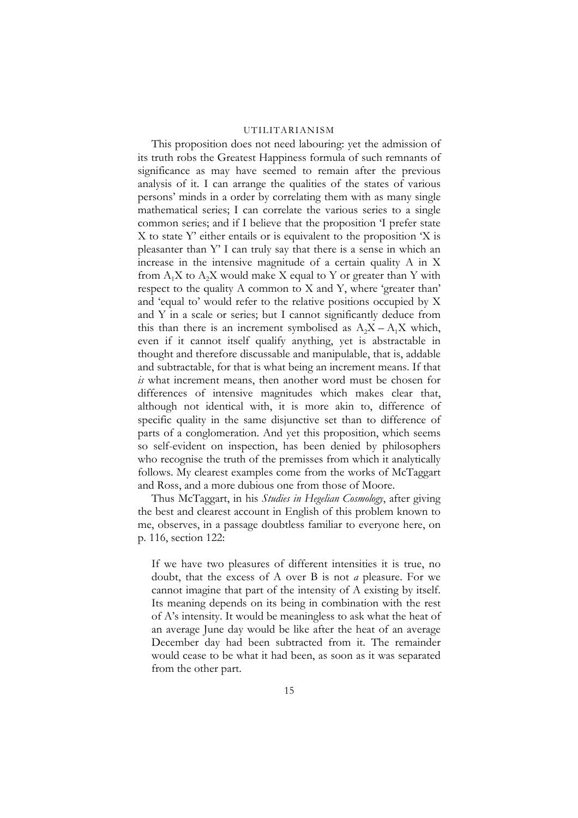This proposition does not need labouring: yet the admission of its truth robs the Greatest Happiness formula of such remnants of significance as may have seemed to remain after the previous analysis of it. I can arrange the qualities of the states of various persons' minds in a order by correlating them with as many single mathematical series; I can correlate the various series to a single common series; and if I believe that the proposition 'I prefer state X to state Y' either entails or is equivalent to the proposition 'X is pleasanter than Y' I can truly say that there is a sense in which an increase in the intensive magnitude of a certain quality A in X from  $A_1X$  to  $A_2X$  would make X equal to Y or greater than Y with respect to the quality A common to X and Y, where 'greater than' and 'equal to' would refer to the relative positions occupied by X and Y in a scale or series; but I cannot significantly deduce from this than there is an increment symbolised as  $A_2X - A_1X$  which, even if it cannot itself qualify anything, yet is abstractable in thought and therefore discussable and manipulable, that is, addable and subtractable, for that is what being an increment means. If that *is* what increment means, then another word must be chosen for differences of intensive magnitudes which makes clear that, although not identical with, it is more akin to, difference of specific quality in the same disjunctive set than to difference of parts of a conglomeration. And yet this proposition, which seems so self-evident on inspection, has been denied by philosophers who recognise the truth of the premisses from which it analytically follows. My clearest examples come from the works of McTaggart and Ross, and a more dubious one from those of Moore.

Thus McTaggart, in his *Studies in Hegelian Cosmology*, after giving the best and clearest account in English of this problem known to me, observes, in a passage doubtless familiar to everyone here, on p. 116, section 122:

If we have two pleasures of different intensities it is true, no doubt, that the excess of A over B is not *a* pleasure. For we cannot imagine that part of the intensity of A existing by itself. Its meaning depends on its being in combination with the rest of A's intensity. It would be meaningless to ask what the heat of an average June day would be like after the heat of an average December day had been subtracted from it. The remainder would cease to be what it had been, as soon as it was separated from the other part.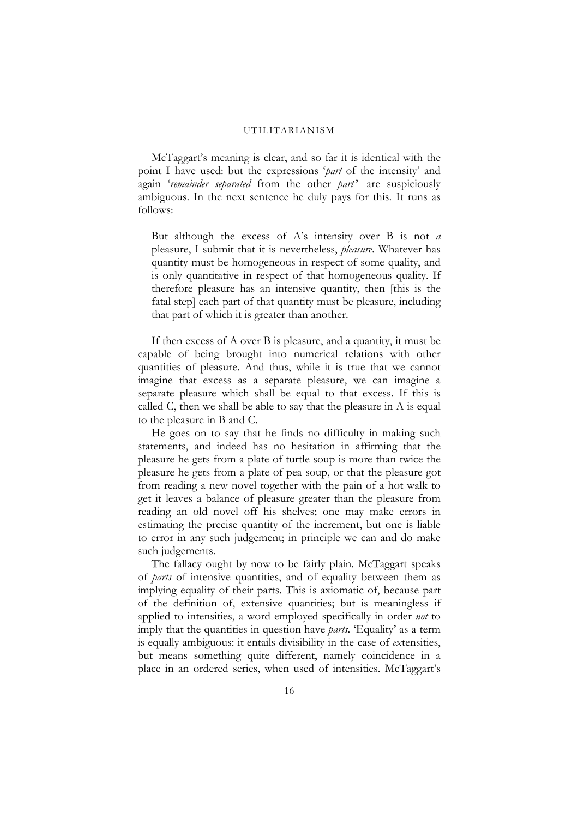McTaggart's meaning is clear, and so far it is identical with the point I have used: but the expressions '*part* of the intensity' and again 'remainder separated from the other part' are suspiciously ambiguous. In the next sentence he duly pays for this. It runs as follows:

But although the excess of A's intensity over B is not *a* pleasure, I submit that it is nevertheless, *pleasure*. Whatever has quantity must be homogeneous in respect of some quality, and is only quantitative in respect of that homogeneous quality. If therefore pleasure has an intensive quantity, then [this is the fatal step] each part of that quantity must be pleasure, including that part of which it is greater than another.

If then excess of A over B is pleasure, and a quantity, it must be capable of being brought into numerical relations with other quantities of pleasure. And thus, while it is true that we cannot imagine that excess as a separate pleasure, we can imagine a separate pleasure which shall be equal to that excess. If this is called C, then we shall be able to say that the pleasure in A is equal to the pleasure in B and C.

He goes on to say that he finds no difficulty in making such statements, and indeed has no hesitation in affirming that the pleasure he gets from a plate of turtle soup is more than twice the pleasure he gets from a plate of pea soup, or that the pleasure got from reading a new novel together with the pain of a hot walk to get it leaves a balance of pleasure greater than the pleasure from reading an old novel off his shelves; one may make errors in estimating the precise quantity of the increment, but one is liable to error in any such judgement; in principle we can and do make such judgements.

The fallacy ought by now to be fairly plain. McTaggart speaks of *parts* of intensive quantities, and of equality between them as implying equality of their parts. This is axiomatic of, because part of the definition of, extensive quantities; but is meaningless if applied to intensities, a word employed specifically in order *not* to imply that the quantities in question have *parts*. 'Equality' as a term is equally ambiguous: it entails divisibility in the case of *ex*tensities, but means something quite different, namely coincidence in a place in an ordered series, when used of intensities. McTaggart's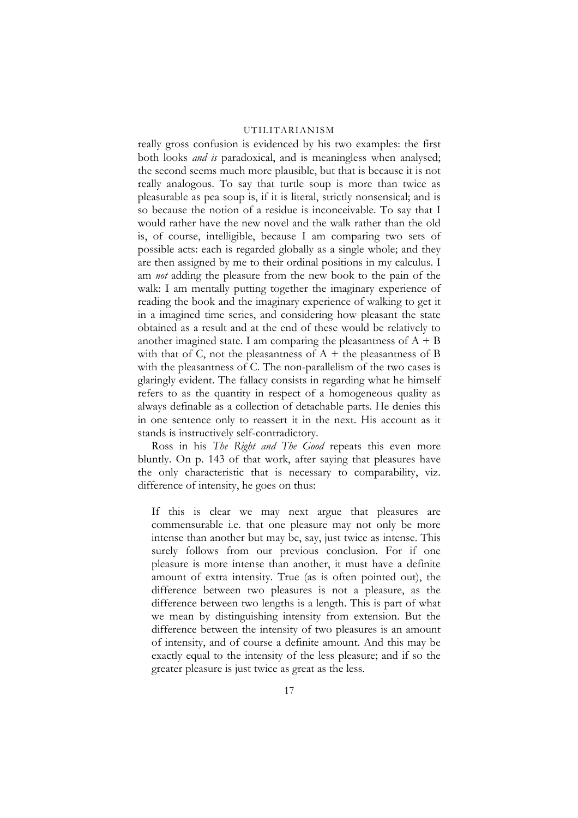really gross confusion is evidenced by his two examples: the first both looks *and is* paradoxical, and is meaningless when analysed; the second seems much more plausible, but that is because it is not really analogous. To say that turtle soup is more than twice as pleasurable as pea soup is, if it is literal, strictly nonsensical; and is so because the notion of a residue is inconceivable. To say that I would rather have the new novel and the walk rather than the old is, of course, intelligible, because I am comparing two sets of possible acts: each is regarded globally as a single whole; and they are then assigned by me to their ordinal positions in my calculus. I am *not* adding the pleasure from the new book to the pain of the walk: I am mentally putting together the imaginary experience of reading the book and the imaginary experience of walking to get it in a imagined time series, and considering how pleasant the state obtained as a result and at the end of these would be relatively to another imagined state. I am comparing the pleasantness of  $A + B$ with that of C, not the pleasantness of  $A +$  the pleasantness of B with the pleasantness of C. The non-parallelism of the two cases is glaringly evident. The fallacy consists in regarding what he himself refers to as the quantity in respect of a homogeneous quality as always definable as a collection of detachable parts. He denies this in one sentence only to reassert it in the next. His account as it stands is instructively self-contradictory.

Ross in his *The Right and The Good* repeats this even more bluntly. On p. 143 of that work, after saying that pleasures have the only characteristic that is necessary to comparability, viz. difference of intensity, he goes on thus:

If this is clear we may next argue that pleasures are commensurable i.e. that one pleasure may not only be more intense than another but may be, say, just twice as intense. This surely follows from our previous conclusion. For if one pleasure is more intense than another, it must have a definite amount of extra intensity. True (as is often pointed out), the difference between two pleasures is not a pleasure, as the difference between two lengths is a length. This is part of what we mean by distinguishing intensity from extension. But the difference between the intensity of two pleasures is an amount of intensity, and of course a definite amount. And this may be exactly equal to the intensity of the less pleasure; and if so the greater pleasure is just twice as great as the less.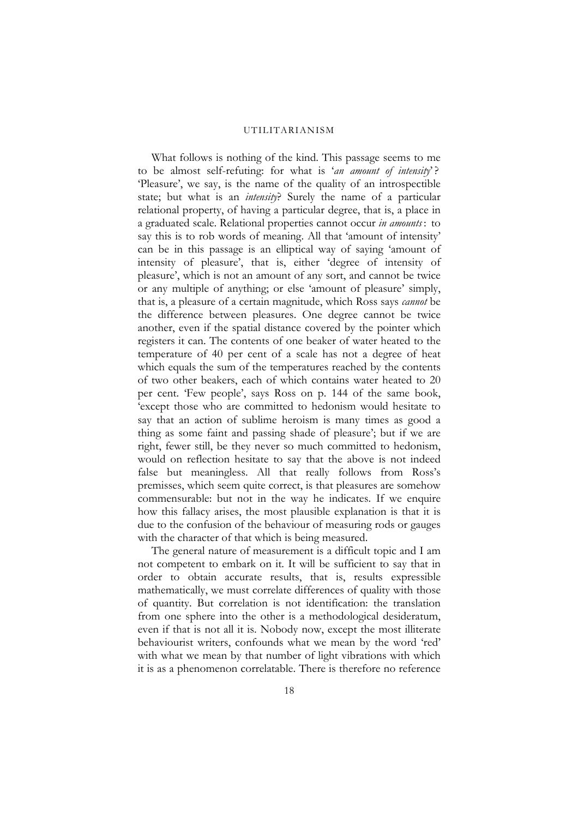What follows is nothing of the kind. This passage seems to me to be almost self-refuting: for what is '*an amount of intensity*' ? 'Pleasure', we say, is the name of the quality of an introspectible state; but what is an *intensity*? Surely the name of a particular relational property, of having a particular degree, that is, a place in a graduated scale. Relational properties cannot occur *in amounts* : to say this is to rob words of meaning. All that 'amount of intensity' can be in this passage is an elliptical way of saying 'amount of intensity of pleasure', that is, either 'degree of intensity of pleasure', which is not an amount of any sort, and cannot be twice or any multiple of anything; or else 'amount of pleasure' simply, that is, a pleasure of a certain magnitude, which Ross says *cannot* be the difference between pleasures. One degree cannot be twice another, even if the spatial distance covered by the pointer which registers it can. The contents of one beaker of water heated to the temperature of 40 per cent of a scale has not a degree of heat which equals the sum of the temperatures reached by the contents of two other beakers, each of which contains water heated to 20 per cent. 'Few people', says Ross on p. 144 of the same book, 'except those who are committed to hedonism would hesitate to say that an action of sublime heroism is many times as good a thing as some faint and passing shade of pleasure'; but if we are right, fewer still, be they never so much committed to hedonism, would on reflection hesitate to say that the above is not indeed false but meaningless. All that really follows from Ross's premisses, which seem quite correct, is that pleasures are somehow commensurable: but not in the way he indicates. If we enquire how this fallacy arises, the most plausible explanation is that it is due to the confusion of the behaviour of measuring rods or gauges with the character of that which is being measured.

The general nature of measurement is a difficult topic and I am not competent to embark on it. It will be sufficient to say that in order to obtain accurate results, that is, results expressible mathematically, we must correlate differences of quality with those of quantity. But correlation is not identification: the translation from one sphere into the other is a methodological desideratum, even if that is not all it is. Nobody now, except the most illiterate behaviourist writers, confounds what we mean by the word 'red' with what we mean by that number of light vibrations with which it is as a phenomenon correlatable. There is therefore no reference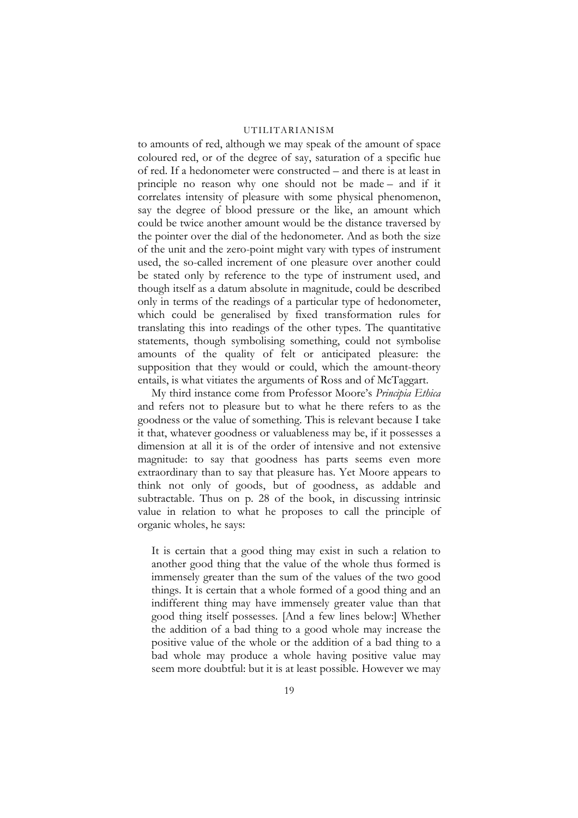to amounts of red, although we may speak of the amount of space coloured red, or of the degree of say, saturation of a specific hue of red. If a hedonometer were constructed – and there is at least in principle no reason why one should not be made – and if it correlates intensity of pleasure with some physical phenomenon, say the degree of blood pressure or the like, an amount which could be twice another amount would be the distance traversed by the pointer over the dial of the hedonometer. And as both the size of the unit and the zero-point might vary with types of instrument used, the so-called increment of one pleasure over another could be stated only by reference to the type of instrument used, and though itself as a datum absolute in magnitude, could be described only in terms of the readings of a particular type of hedonometer, which could be generalised by fixed transformation rules for translating this into readings of the other types. The quantitative statements, though symbolising something, could not symbolise amounts of the quality of felt or anticipated pleasure: the supposition that they would or could, which the amount-theory entails, is what vitiates the arguments of Ross and of McTaggart.

My third instance come from Professor Moore's *Principia Ethica* and refers not to pleasure but to what he there refers to as the goodness or the value of something. This is relevant because I take it that, whatever goodness or valuableness may be, if it possesses a dimension at all it is of the order of intensive and not extensive magnitude: to say that goodness has parts seems even more extraordinary than to say that pleasure has. Yet Moore appears to think not only of goods, but of goodness, as addable and subtractable. Thus on p. 28 of the book, in discussing intrinsic value in relation to what he proposes to call the principle of organic wholes, he says:

It is certain that a good thing may exist in such a relation to another good thing that the value of the whole thus formed is immensely greater than the sum of the values of the two good things. It is certain that a whole formed of a good thing and an indifferent thing may have immensely greater value than that good thing itself possesses. [And a few lines below:] Whether the addition of a bad thing to a good whole may increase the positive value of the whole or the addition of a bad thing to a bad whole may produce a whole having positive value may seem more doubtful: but it is at least possible. However we may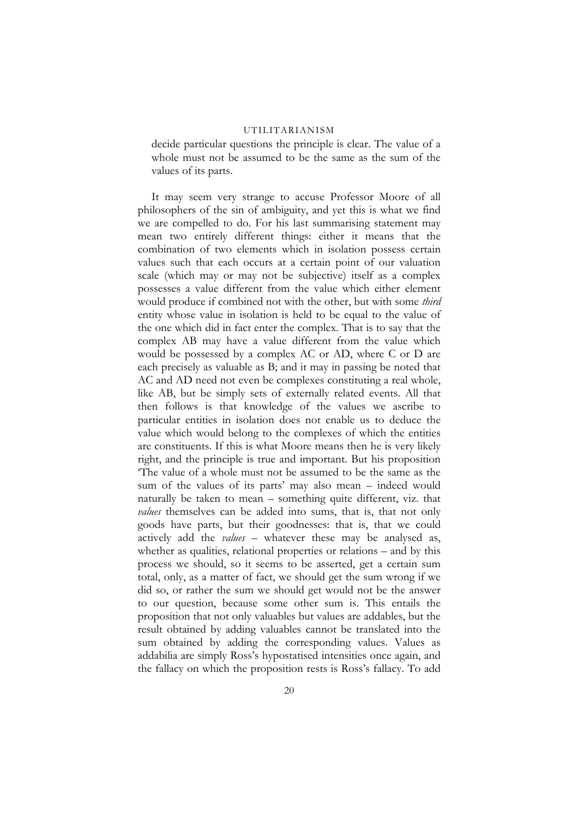decide particular questions the principle is clear. The value of a whole must not be assumed to be the same as the sum of the values of its parts.

It may seem very strange to accuse Professor Moore of all philosophers of the sin of ambiguity, and yet this is what we find we are compelled to do. For his last summarising statement may mean two entirely different things: either it means that the combination of two elements which in isolation possess certain values such that each occurs at a certain point of our valuation scale (which may or may not be subjective) itself as a complex possesses a value different from the value which either element would produce if combined not with the other, but with some *third* entity whose value in isolation is held to be equal to the value of the one which did in fact enter the complex. That is to say that the complex AB may have a value different from the value which would be possessed by a complex AC or AD, where C or D are each precisely as valuable as B; and it may in passing be noted that AC and AD need not even be complexes constituting a real whole, like AB, but be simply sets of externally related events. All that then follows is that knowledge of the values we ascribe to particular entities in isolation does not enable us to deduce the value which would belong to the complexes of which the entities are constituents. If this is what Moore means then he is very likely right, and the principle is true and important. But his proposition 'The value of a whole must not be assumed to be the same as the sum of the values of its parts' may also mean – indeed would naturally be taken to mean – something quite different, viz. that *values* themselves can be added into sums, that is, that not only goods have parts, but their goodnesses: that is, that we could actively add the *values* – whatever these may be analysed as, whether as qualities, relational properties or relations – and by this process we should, so it seems to be asserted, get a certain sum total, only, as a matter of fact, we should get the sum wrong if we did so, or rather the sum we should get would not be the answer to our question, because some other sum is. This entails the proposition that not only valuables but values are addables, but the result obtained by adding valuables cannot be translated into the sum obtained by adding the corresponding values. Values as addabilia are simply Ross's hypostatised intensities once again, and the fallacy on which the proposition rests is Ross's fallacy. To add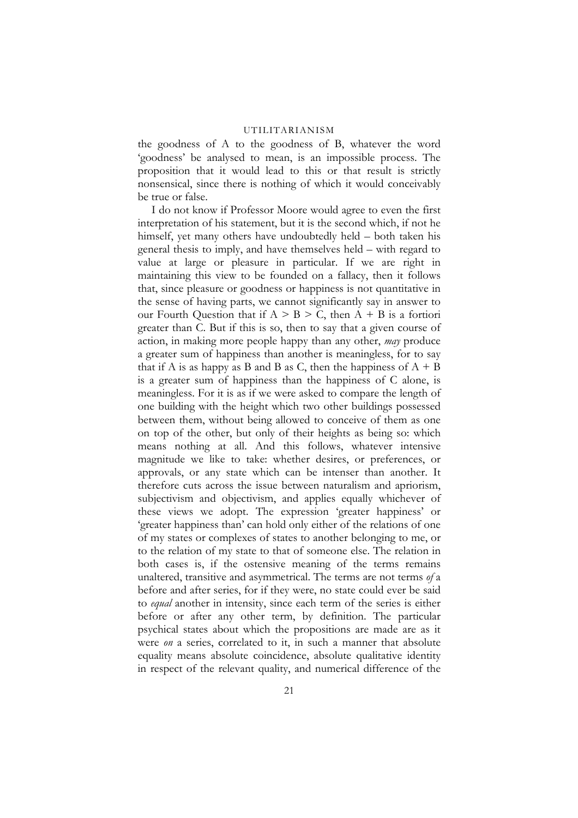the goodness of A to the goodness of B, whatever the word 'goodness' be analysed to mean, is an impossible process. The proposition that it would lead to this or that result is strictly nonsensical, since there is nothing of which it would conceivably be true or false.

I do not know if Professor Moore would agree to even the first interpretation of his statement, but it is the second which, if not he himself, yet many others have undoubtedly held – both taken his general thesis to imply, and have themselves held – with regard to value at large or pleasure in particular. If we are right in maintaining this view to be founded on a fallacy, then it follows that, since pleasure or goodness or happiness is not quantitative in the sense of having parts, we cannot significantly say in answer to our Fourth Question that if  $A > B > C$ , then  $A + B$  is a fortiori greater than C. But if this is so, then to say that a given course of action, in making more people happy than any other, *may* produce a greater sum of happiness than another is meaningless, for to say that if A is as happy as B and B as C, then the happiness of  $A + B$ is a greater sum of happiness than the happiness of C alone, is meaningless. For it is as if we were asked to compare the length of one building with the height which two other buildings possessed between them, without being allowed to conceive of them as one on top of the other, but only of their heights as being so: which means nothing at all. And this follows, whatever intensive magnitude we like to take: whether desires, or preferences, or approvals, or any state which can be intenser than another. It therefore cuts across the issue between naturalism and apriorism, subjectivism and objectivism, and applies equally whichever of these views we adopt. The expression 'greater happiness' or 'greater happiness than' can hold only either of the relations of one of my states or complexes of states to another belonging to me, or to the relation of my state to that of someone else. The relation in both cases is, if the ostensive meaning of the terms remains unaltered, transitive and asymmetrical. The terms are not terms *of* a before and after series, for if they were, no state could ever be said to *equal* another in intensity, since each term of the series is either before or after any other term, by definition. The particular psychical states about which the propositions are made are as it were *on* a series, correlated to it, in such a manner that absolute equality means absolute coincidence, absolute qualitative identity in respect of the relevant quality, and numerical difference of the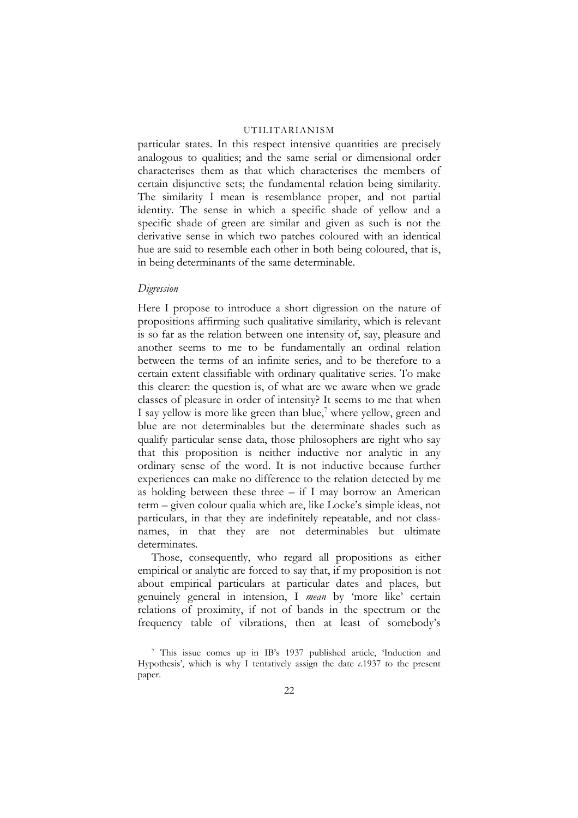particular states. In this respect intensive quantities are precisely analogous to qualities; and the same serial or dimensional order characterises them as that which characterises the members of certain disjunctive sets; the fundamental relation being similarity. The similarity I mean is resemblance proper, and not partial identity. The sense in which a specific shade of yellow and a specific shade of green are similar and given as such is not the derivative sense in which two patches coloured with an identical hue are said to resemble each other in both being coloured, that is, in being determinants of the same determinable.

#### *Digression*

Here I propose to introduce a short digression on the nature of propositions affirming such qualitative similarity, which is relevant is so far as the relation between one intensity of, say, pleasure and another seems to me to be fundamentally an ordinal relation between the terms of an infinite series, and to be therefore to a certain extent classifiable with ordinary qualitative series. To make this clearer: the question is, of what are we aware when we grade classes of pleasure in order of intensity? It seems to me that when I say yellow is more like green than blue,<sup>7</sup> where yellow, green and blue are not determinables but the determinate shades such as qualify particular sense data, those philosophers are right who say that this proposition is neither inductive nor analytic in any ordinary sense of the word. It is not inductive because further experiences can make no difference to the relation detected by me as holding between these three – if I may borrow an American term – given colour qualia which are, like Locke's simple ideas, not particulars, in that they are indefinitely repeatable, and not classnames, in that they are not determinables but ultimate determinates.

Those, consequently, who regard all propositions as either empirical or analytic are forced to say that, if my proposition is not about empirical particulars at particular dates and places, but genuinely general in intension, I *mean* by 'more like' certain relations of proximity, if not of bands in the spectrum or the frequency table of vibrations, then at least of somebody's

<span id="page-21-0"></span><sup>7</sup> This issue comes up in IB's 1937 published article, 'Induction and Hypothesis', which is why I tentatively assign the date *c.*1937 to the present paper.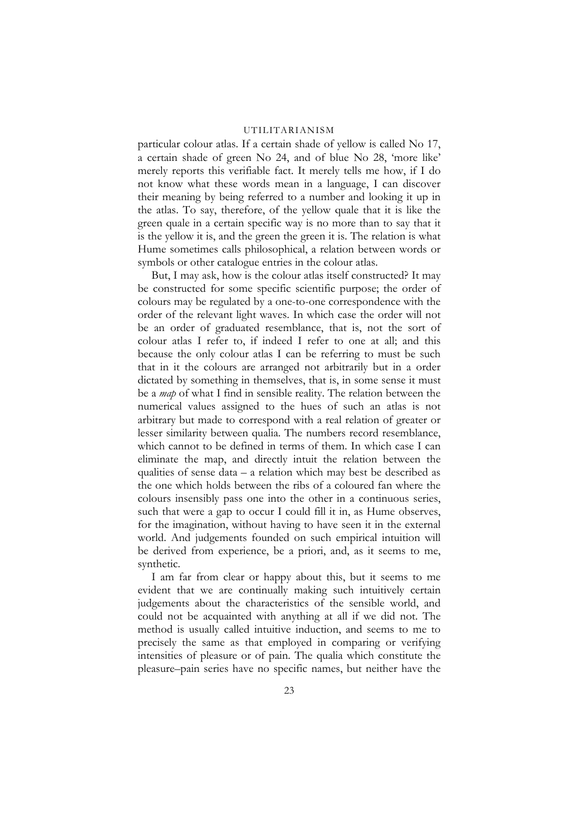particular colour atlas. If a certain shade of yellow is called No 17, a certain shade of green No 24, and of blue No 28, 'more like' merely reports this verifiable fact. It merely tells me how, if I do not know what these words mean in a language, I can discover their meaning by being referred to a number and looking it up in the atlas. To say, therefore, of the yellow quale that it is like the green quale in a certain specific way is no more than to say that it is the yellow it is, and the green the green it is. The relation is what Hume sometimes calls philosophical, a relation between words or symbols or other catalogue entries in the colour atlas.

But, I may ask, how is the colour atlas itself constructed? It may be constructed for some specific scientific purpose; the order of colours may be regulated by a one-to-one correspondence with the order of the relevant light waves. In which case the order will not be an order of graduated resemblance, that is, not the sort of colour atlas I refer to, if indeed I refer to one at all; and this because the only colour atlas I can be referring to must be such that in it the colours are arranged not arbitrarily but in a order dictated by something in themselves, that is, in some sense it must be a *map* of what I find in sensible reality. The relation between the numerical values assigned to the hues of such an atlas is not arbitrary but made to correspond with a real relation of greater or lesser similarity between qualia. The numbers record resemblance, which cannot to be defined in terms of them. In which case I can eliminate the map, and directly intuit the relation between the qualities of sense data – a relation which may best be described as the one which holds between the ribs of a coloured fan where the colours insensibly pass one into the other in a continuous series, such that were a gap to occur I could fill it in, as Hume observes, for the imagination, without having to have seen it in the external world. And judgements founded on such empirical intuition will be derived from experience, be a priori, and, as it seems to me, synthetic.

I am far from clear or happy about this, but it seems to me evident that we are continually making such intuitively certain judgements about the characteristics of the sensible world, and could not be acquainted with anything at all if we did not. The method is usually called intuitive induction, and seems to me to precisely the same as that employed in comparing or verifying intensities of pleasure or of pain. The qualia which constitute the pleasure–pain series have no specific names, but neither have the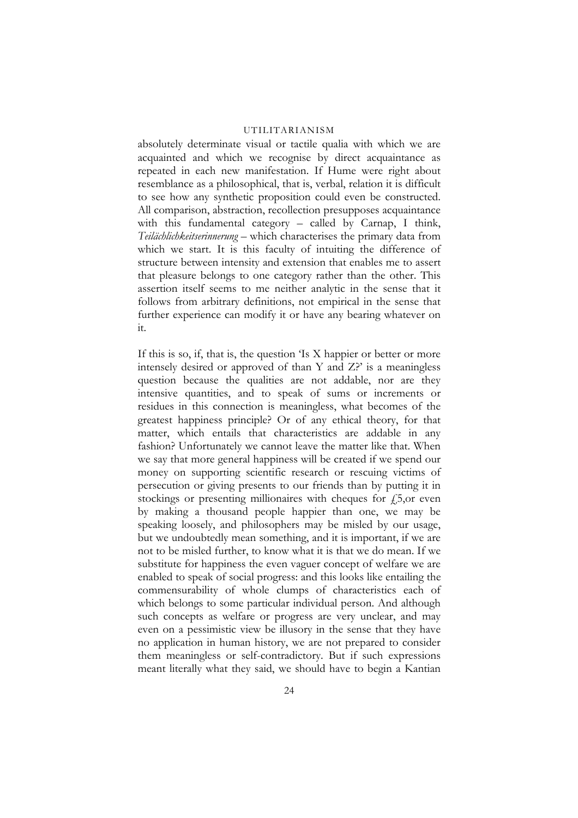absolutely determinate visual or tactile qualia with which we are acquainted and which we recognise by direct acquaintance as repeated in each new manifestation. If Hume were right about resemblance as a philosophical, that is, verbal, relation it is difficult to see how any synthetic proposition could even be constructed. All comparison, abstraction, recollection presupposes acquaintance with this fundamental category – called by Carnap, I think, *Teilächlichkeitserinnerung* – which characterises the primary data from which we start. It is this faculty of intuiting the difference of structure between intensity and extension that enables me to assert that pleasure belongs to one category rather than the other. This assertion itself seems to me neither analytic in the sense that it follows from arbitrary definitions, not empirical in the sense that further experience can modify it or have any bearing whatever on it.

If this is so, if, that is, the question 'Is X happier or better or more intensely desired or approved of than Y and Z?' is a meaningless question because the qualities are not addable, nor are they intensive quantities, and to speak of sums or increments or residues in this connection is meaningless, what becomes of the greatest happiness principle? Or of any ethical theory, for that matter, which entails that characteristics are addable in any fashion? Unfortunately we cannot leave the matter like that. When we say that more general happiness will be created if we spend our money on supporting scientific research or rescuing victims of persecution or giving presents to our friends than by putting it in stockings or presenting millionaires with cheques for  $f_{2,0}$  even by making a thousand people happier than one, we may be speaking loosely, and philosophers may be misled by our usage, but we undoubtedly mean something, and it is important, if we are not to be misled further, to know what it is that we do mean. If we substitute for happiness the even vaguer concept of welfare we are enabled to speak of social progress: and this looks like entailing the commensurability of whole clumps of characteristics each of which belongs to some particular individual person. And although such concepts as welfare or progress are very unclear, and may even on a pessimistic view be illusory in the sense that they have no application in human history, we are not prepared to consider them meaningless or self-contradictory. But if such expressions meant literally what they said, we should have to begin a Kantian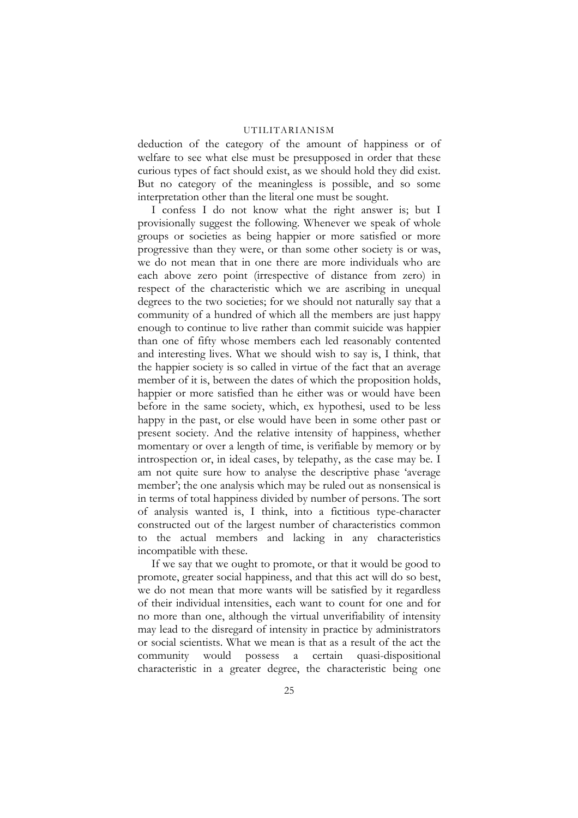deduction of the category of the amount of happiness or of welfare to see what else must be presupposed in order that these curious types of fact should exist, as we should hold they did exist. But no category of the meaningless is possible, and so some interpretation other than the literal one must be sought.

I confess I do not know what the right answer is; but I provisionally suggest the following. Whenever we speak of whole groups or societies as being happier or more satisfied or more progressive than they were, or than some other society is or was, we do not mean that in one there are more individuals who are each above zero point (irrespective of distance from zero) in respect of the characteristic which we are ascribing in unequal degrees to the two societies; for we should not naturally say that a community of a hundred of which all the members are just happy enough to continue to live rather than commit suicide was happier than one of fifty whose members each led reasonably contented and interesting lives. What we should wish to say is, I think, that the happier society is so called in virtue of the fact that an average member of it is, between the dates of which the proposition holds, happier or more satisfied than he either was or would have been before in the same society, which, ex hypothesi, used to be less happy in the past, or else would have been in some other past or present society. And the relative intensity of happiness, whether momentary or over a length of time, is verifiable by memory or by introspection or, in ideal cases, by telepathy, as the case may be. I am not quite sure how to analyse the descriptive phase 'average member'; the one analysis which may be ruled out as nonsensical is in terms of total happiness divided by number of persons. The sort of analysis wanted is, I think, into a fictitious type-character constructed out of the largest number of characteristics common to the actual members and lacking in any characteristics incompatible with these.

If we say that we ought to promote, or that it would be good to promote, greater social happiness, and that this act will do so best, we do not mean that more wants will be satisfied by it regardless of their individual intensities, each want to count for one and for no more than one, although the virtual unverifiability of intensity may lead to the disregard of intensity in practice by administrators or social scientists. What we mean is that as a result of the act the community would possess a certain quasi-dispositional characteristic in a greater degree, the characteristic being one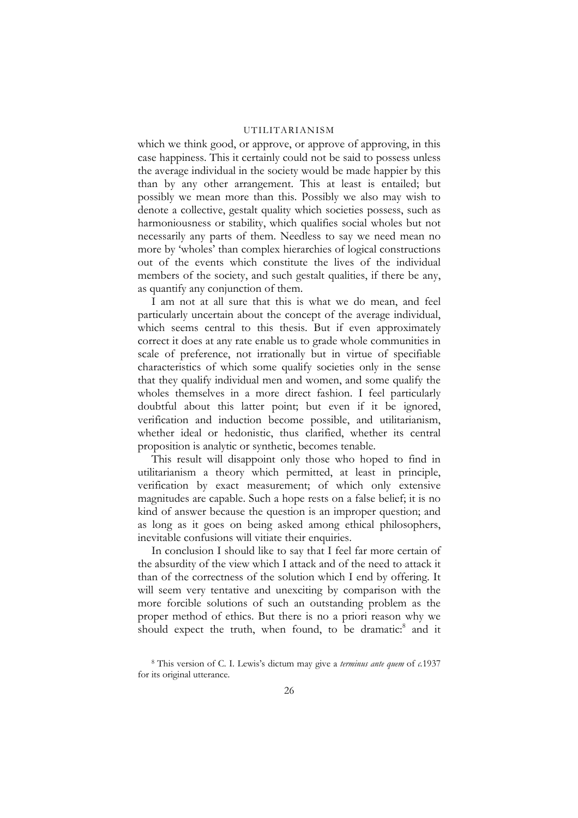which we think good, or approve, or approve of approving, in this case happiness. This it certainly could not be said to possess unless the average individual in the society would be made happier by this than by any other arrangement. This at least is entailed; but possibly we mean more than this. Possibly we also may wish to denote a collective, gestalt quality which societies possess, such as harmoniousness or stability, which qualifies social wholes but not necessarily any parts of them. Needless to say we need mean no more by 'wholes' than complex hierarchies of logical constructions out of the events which constitute the lives of the individual members of the society, and such gestalt qualities, if there be any, as quantify any conjunction of them.

I am not at all sure that this is what we do mean, and feel particularly uncertain about the concept of the average individual, which seems central to this thesis. But if even approximately correct it does at any rate enable us to grade whole communities in scale of preference, not irrationally but in virtue of specifiable characteristics of which some qualify societies only in the sense that they qualify individual men and women, and some qualify the wholes themselves in a more direct fashion. I feel particularly doubtful about this latter point; but even if it be ignored, verification and induction become possible, and utilitarianism, whether ideal or hedonistic, thus clarified, whether its central proposition is analytic or synthetic, becomes tenable.

This result will disappoint only those who hoped to find in utilitarianism a theory which permitted, at least in principle, verification by exact measurement; of which only extensive magnitudes are capable. Such a hope rests on a false belief; it is no kind of answer because the question is an improper question; and as long as it goes on being asked among ethical philosophers, inevitable confusions will vitiate their enquiries.

In conclusion I should like to say that I feel far more certain of the absurdity of the view which I attack and of the need to attack it than of the correctness of the solution which I end by offering. It will seem very tentative and unexciting by comparison with the more forcible solutions of such an outstanding problem as the proper method of ethics. But there is no a priori reason why we should expect the truth, when found, to be dramatic:<sup>8</sup> and it

<span id="page-25-0"></span><sup>8</sup> This version of C. I. Lewis's dictum may give a *terminus ante quem* of *c.*1937 for its original utterance.